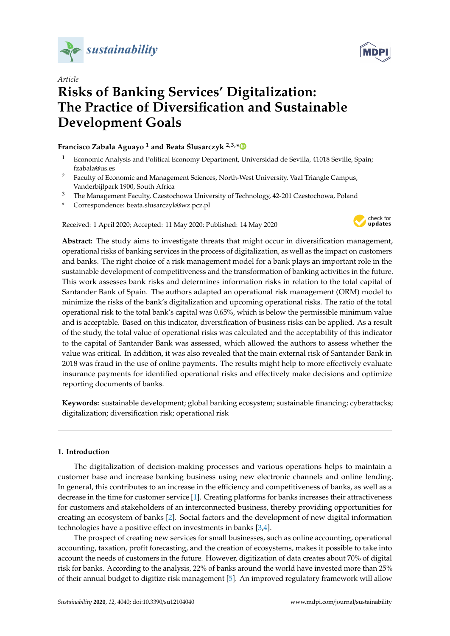



# *Article* **Risks of Banking Services' Digitalization: The Practice of Diversification and Sustainable Development Goals**

## **Francisco Zabala Aguayo <sup>1</sup> and Beata Slusarczyk ´ 2,3,[\\*](https://orcid.org/0000-0002-7276-8372)**

- <sup>1</sup> Economic Analysis and Political Economy Department, Universidad de Sevilla, 41018 Seville, Spain; fzabala@us.es
- <sup>2</sup> Faculty of Economic and Management Sciences, North-West University, Vaal Triangle Campus, Vanderbijlpark 1900, South Africa
- <sup>3</sup> The Management Faculty, Czestochowa University of Technology, 42-201 Czestochowa, Poland
- **\*** Correspondence: beata.slusarczyk@wz.pcz.pl

Received: 1 April 2020; Accepted: 11 May 2020; Published: 14 May 2020



**Abstract:** The study aims to investigate threats that might occur in diversification management, operational risks of banking services in the process of digitalization, as well as the impact on customers and banks. The right choice of a risk management model for a bank plays an important role in the sustainable development of competitiveness and the transformation of banking activities in the future. This work assesses bank risks and determines information risks in relation to the total capital of Santander Bank of Spain. The authors adapted an operational risk management (ORM) model to minimize the risks of the bank's digitalization and upcoming operational risks. The ratio of the total operational risk to the total bank's capital was 0.65%, which is below the permissible minimum value and is acceptable. Based on this indicator, diversification of business risks can be applied. As a result of the study, the total value of operational risks was calculated and the acceptability of this indicator to the capital of Santander Bank was assessed, which allowed the authors to assess whether the value was critical. In addition, it was also revealed that the main external risk of Santander Bank in 2018 was fraud in the use of online payments. The results might help to more effectively evaluate insurance payments for identified operational risks and effectively make decisions and optimize reporting documents of banks.

**Keywords:** sustainable development; global banking ecosystem; sustainable financing; cyberattacks; digitalization; diversification risk; operational risk

### **1. Introduction**

The digitalization of decision-making processes and various operations helps to maintain a customer base and increase banking business using new electronic channels and online lending. In general, this contributes to an increase in the efficiency and competitiveness of banks, as well as a decrease in the time for customer service [\[1\]](#page-7-0). Creating platforms for banks increases their attractiveness for customers and stakeholders of an interconnected business, thereby providing opportunities for creating an ecosystem of banks [\[2\]](#page-7-1). Social factors and the development of new digital information technologies have a positive effect on investments in banks [\[3](#page-7-2)[,4\]](#page-7-3).

The prospect of creating new services for small businesses, such as online accounting, operational accounting, taxation, profit forecasting, and the creation of ecosystems, makes it possible to take into account the needs of customers in the future. However, digitization of data creates about 70% of digital risk for banks. According to the analysis, 22% of banks around the world have invested more than 25% of their annual budget to digitize risk management [\[5\]](#page-7-4). An improved regulatory framework will allow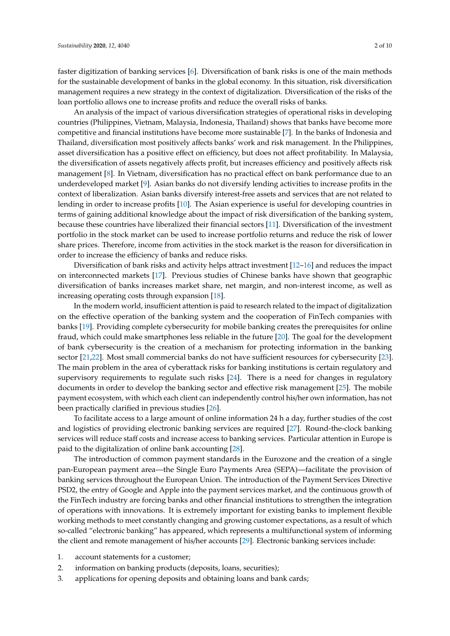faster digitization of banking services [\[6\]](#page-7-5). Diversification of bank risks is one of the main methods for the sustainable development of banks in the global economy. In this situation, risk diversification management requires a new strategy in the context of digitalization. Diversification of the risks of the loan portfolio allows one to increase profits and reduce the overall risks of banks.

An analysis of the impact of various diversification strategies of operational risks in developing countries (Philippines, Vietnam, Malaysia, Indonesia, Thailand) shows that banks have become more competitive and financial institutions have become more sustainable [\[7\]](#page-7-6). In the banks of Indonesia and Thailand, diversification most positively affects banks' work and risk management. In the Philippines, asset diversification has a positive effect on efficiency, but does not affect profitability. In Malaysia, the diversification of assets negatively affects profit, but increases efficiency and positively affects risk management [\[8\]](#page-7-7). In Vietnam, diversification has no practical effect on bank performance due to an underdeveloped market [\[9\]](#page-7-8). Asian banks do not diversify lending activities to increase profits in the context of liberalization. Asian banks diversify interest-free assets and services that are not related to lending in order to increase profits [\[10\]](#page-7-9). The Asian experience is useful for developing countries in terms of gaining additional knowledge about the impact of risk diversification of the banking system, because these countries have liberalized their financial sectors [\[11\]](#page-7-10). Diversification of the investment portfolio in the stock market can be used to increase portfolio returns and reduce the risk of lower share prices. Therefore, income from activities in the stock market is the reason for diversification in order to increase the efficiency of banks and reduce risks.

Diversification of bank risks and activity helps attract investment [\[12–](#page-7-11)[16\]](#page-8-0) and reduces the impact on interconnected markets [\[17\]](#page-8-1). Previous studies of Chinese banks have shown that geographic diversification of banks increases market share, net margin, and non-interest income, as well as increasing operating costs through expansion [\[18\]](#page-8-2).

In the modern world, insufficient attention is paid to research related to the impact of digitalization on the effective operation of the banking system and the cooperation of FinTech companies with banks [\[19\]](#page-8-3). Providing complete cybersecurity for mobile banking creates the prerequisites for online fraud, which could make smartphones less reliable in the future [\[20\]](#page-8-4). The goal for the development of bank cybersecurity is the creation of a mechanism for protecting information in the banking sector [\[21,](#page-8-5)[22\]](#page-8-6). Most small commercial banks do not have sufficient resources for cybersecurity [\[23\]](#page-8-7). The main problem in the area of cyberattack risks for banking institutions is certain regulatory and supervisory requirements to regulate such risks [\[24\]](#page-8-8). There is a need for changes in regulatory documents in order to develop the banking sector and effective risk management [\[25\]](#page-8-9). The mobile payment ecosystem, with which each client can independently control his/her own information, has not been practically clarified in previous studies [\[26\]](#page-8-10).

To facilitate access to a large amount of online information 24 h a day, further studies of the cost and logistics of providing electronic banking services are required [\[27\]](#page-8-11). Round-the-clock banking services will reduce staff costs and increase access to banking services. Particular attention in Europe is paid to the digitalization of online bank accounting [\[28\]](#page-8-12).

The introduction of common payment standards in the Eurozone and the creation of a single pan-European payment area—the Single Euro Payments Area (SEPA)—facilitate the provision of banking services throughout the European Union. The introduction of the Payment Services Directive PSD2, the entry of Google and Apple into the payment services market, and the continuous growth of the FinTech industry are forcing banks and other financial institutions to strengthen the integration of operations with innovations. It is extremely important for existing banks to implement flexible working methods to meet constantly changing and growing customer expectations, as a result of which so-called "electronic banking" has appeared, which represents a multifunctional system of informing the client and remote management of his/her accounts [\[29\]](#page-8-13). Electronic banking services include:

- 1. account statements for a customer;
- 2. information on banking products (deposits, loans, securities);
- 3. applications for opening deposits and obtaining loans and bank cards;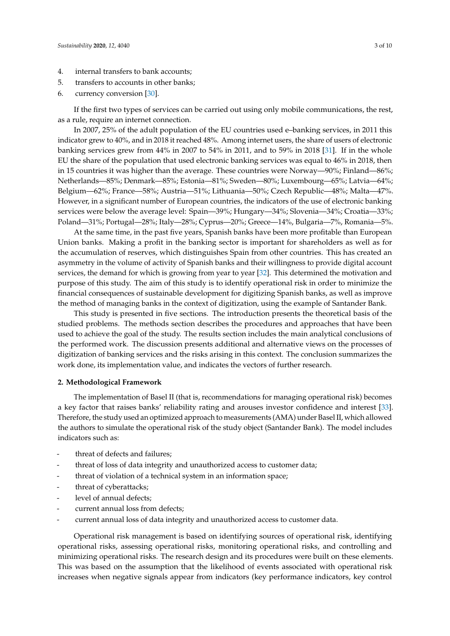- 4. internal transfers to bank accounts;
- 5. transfers to accounts in other banks;
- 6. currency conversion [\[30\]](#page-8-14).

If the first two types of services can be carried out using only mobile communications, the rest, as a rule, require an internet connection.

In 2007, 25% of the adult population of the EU countries used e–banking services, in 2011 this indicator grew to 40%, and in 2018 it reached 48%. Among internet users, the share of users of electronic banking services grew from 44% in 2007 to 54% in 2011, and to 59% in 2018 [\[31\]](#page-8-15). If in the whole EU the share of the population that used electronic banking services was equal to 46% in 2018, then in 15 countries it was higher than the average. These countries were Norway—90%; Finland—86%; Netherlands—85%; Denmark—85%; Estonia—81%; Sweden—80%; Luxembourg—65%; Latvia—64%; Belgium—62%; France—58%; Austria—51%; Lithuania—50%; Czech Republic—48%; Malta—47%. However, in a significant number of European countries, the indicators of the use of electronic banking services were below the average level: Spain—39%; Hungary—34%; Slovenia—34%; Croatia—33%; Poland—31%; Portugal—28%; Italy—28%; Cyprus—20%; Greece—14%, Bulgaria—7%, Romania—5%.

At the same time, in the past five years, Spanish banks have been more profitable than European Union banks. Making a profit in the banking sector is important for shareholders as well as for the accumulation of reserves, which distinguishes Spain from other countries. This has created an asymmetry in the volume of activity of Spanish banks and their willingness to provide digital account services, the demand for which is growing from year to year [\[32\]](#page-8-16). This determined the motivation and purpose of this study. The aim of this study is to identify operational risk in order to minimize the financial consequences of sustainable development for digitizing Spanish banks, as well as improve the method of managing banks in the context of digitization, using the example of Santander Bank.

This study is presented in five sections. The introduction presents the theoretical basis of the studied problems. The methods section describes the procedures and approaches that have been used to achieve the goal of the study. The results section includes the main analytical conclusions of the performed work. The discussion presents additional and alternative views on the processes of digitization of banking services and the risks arising in this context. The conclusion summarizes the work done, its implementation value, and indicates the vectors of further research.

### **2. Methodological Framework**

The implementation of Basel II (that is, recommendations for managing operational risk) becomes a key factor that raises banks' reliability rating and arouses investor confidence and interest [\[33\]](#page-8-17). Therefore, the study used an optimized approach to measurements (AMA) under Basel II, which allowed the authors to simulate the operational risk of the study object (Santander Bank). The model includes indicators such as:

- threat of defects and failures;
- threat of loss of data integrity and unauthorized access to customer data;
- threat of violation of a technical system in an information space;
- threat of cyberattacks;
- level of annual defects;
- current annual loss from defects;
- current annual loss of data integrity and unauthorized access to customer data.

Operational risk management is based on identifying sources of operational risk, identifying operational risks, assessing operational risks, monitoring operational risks, and controlling and minimizing operational risks. The research design and its procedures were built on these elements. This was based on the assumption that the likelihood of events associated with operational risk increases when negative signals appear from indicators (key performance indicators, key control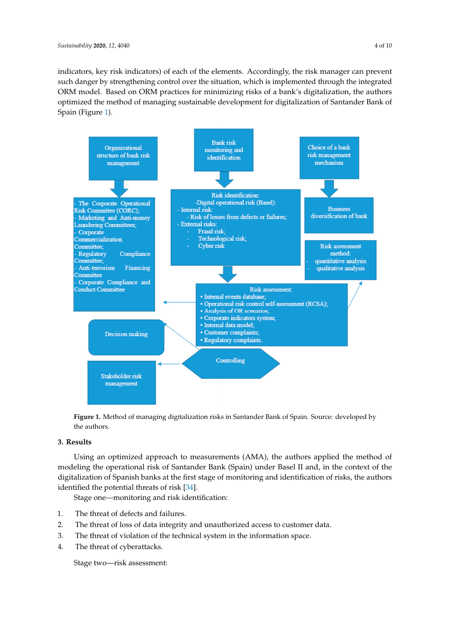indicators, key risk indicators) of each of the elements. Accordingly, the risk manager can prevent such danger by strengthening control over the situation, which is implemented through the integrated ORM model. Based on ORM practices for minimizing risks of a bank's digitalization, the authors optimized the method of managing sustainable development for digitalization of Santander Bank of Spain (Figure [1\)](#page-3-0).

<span id="page-3-0"></span>

**Figure 1. Figure 1. Figure 1. Figure 1. Figure 3. Figure 3. Figure 3. Figure 3. Figure 3. Figure 3. Figure 3. Figure 3. Figure 3. Figure 3. Figure 3. Figure 3. Figure 3. Figure 3. Figur Figure 1.** Method of managing digitalization risks in Santander Bank of Spain. Source: developed by the authors.

## **3. Results**

Using an optimized approach to measurements (AMA), the authors applied the method of modeling the operational risk of Santander Bank (Spain) under Basel II and, in the context of the digitalization of Spanish banks at the first stage of monitoring and identification of risks, the authors identified the potential threats of risk  $[34]$ .

Stage one—monitoring and risk identification:

- 1. The threat of defects and failures.
- 2. The threat of loss of data integrity and unauthorized access to customer data.
- 3. The threat of violation of the technical system in the information space.
- 4. The threat of cyberattacks.

Stage two—risk assessment: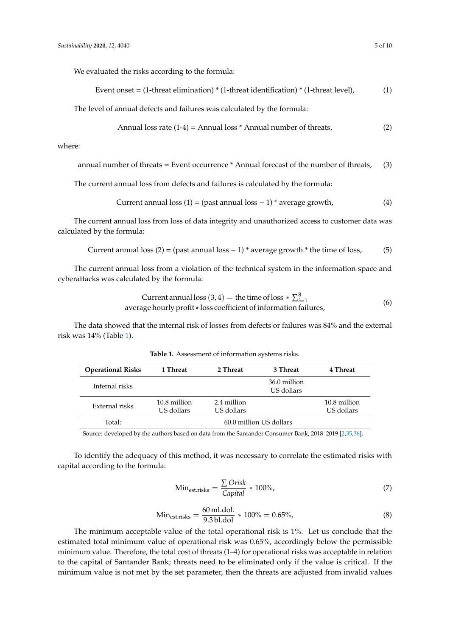We evaluated the risks according to the formula:

Event onset  $= (1$ -threat elimination)  $*(1)$ -threat identification)  $*(1)$ -threat level), (1)

The level of annual defects and failures was calculated by the formula:

Annual loss rate 
$$
(1-4) =
$$
 Annual loss \* Annual number of threats, (2)

where:

annual number of threats = Event occurrence 
$$
*
$$
 Annual forecast of the number of threats, (3)

The current annual loss from defects and failures is calculated by the formula:

Current annual loss 
$$
(1)
$$
 = (past annual loss – 1) \* average growth, (4)

The current annual loss from loss of data integrity and unauthorized access to customer data was calculated by the formula:

Current annual loss (2) = (past annual loss 
$$
- 1
$$
) \* average growth \* the time of loss, (5)

The current annual loss from a violation of the technical system in the information space and cyberattacks was calculated by the formula:

Current annual loss (3, 4) = the time of loss 
$$
\ast \sum_{i=1}^{8}
$$
  
average hourly profit  $\ast$  loss coefficient of information failures, (6)

<span id="page-4-0"></span>The data showed that the internal risk of losses from defects or failures was 84% and the external risk was 14% (Table [1\)](#page-4-0).

| <b>Operational Risks</b> | 1 Threat                   | 2 Threat                  | 3 Threat                   | 4 Threat                   |
|--------------------------|----------------------------|---------------------------|----------------------------|----------------------------|
| Internal risks           |                            |                           | 36.0 million<br>US dollars |                            |
| External risks           | 10.8 million<br>US dollars | 2.4 million<br>US dollars |                            | 10.8 million<br>US dollars |
| Total:                   | 60.0 million US dollars    |                           |                            |                            |

| Table 1. Assessment of information systems risks. |
|---------------------------------------------------|
|---------------------------------------------------|

Source: developed by the authors based on data from the Santander Consumer Bank, 2018–2019 [\[2](#page-7-1)[,35](#page-8-19)[,36\]](#page-8-20).

To identify the adequacy of this method, it was necessary to correlate the estimated risks with capital according to the formula:

$$
\text{Min}_{\text{est-risks}} = \frac{\sum \text{Orisk}}{\text{Capital}} * 100\%,\tag{7}
$$

Min<sub>est.risks</sub> = 
$$
\frac{60 \text{ ml.dol.}}{9.3 \text{ bl.dol}} * 100\% = 0.65\%,
$$
 (8)

The minimum acceptable value of the total operational risk is 1%. Let us conclude that the estimated total minimum value of operational risk was 0.65%, accordingly below the permissible minimum value. Therefore, the total cost of threats (1–4) for operational risks was acceptable in relation to the capital of Santander Bank; threats need to be eliminated only if the value is critical. If the minimum value is not met by the set parameter, then the threats are adjusted from invalid values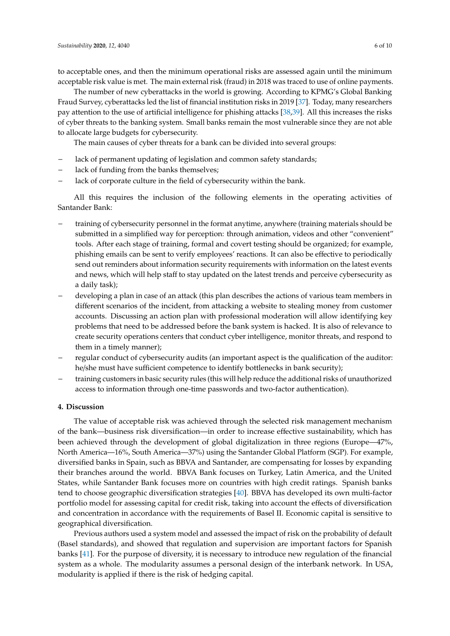to acceptable ones, and then the minimum operational risks are assessed again until the minimum acceptable risk value is met. The main external risk (fraud) in 2018 was traced to use of online payments.

The number of new cyberattacks in the world is growing. According to KPMG's Global Banking Fraud Survey, cyberattacks led the list of financial institution risks in 2019 [\[37\]](#page-8-21). Today, many researchers pay attention to the use of artificial intelligence for phishing attacks [\[38](#page-8-22)[,39\]](#page-9-0). All this increases the risks of cyber threats to the banking system. Small banks remain the most vulnerable since they are not able to allocate large budgets for cybersecurity.

The main causes of cyber threats for a bank can be divided into several groups:

- lack of permanent updating of legislation and common safety standards;
- lack of funding from the banks themselves;
- lack of corporate culture in the field of cybersecurity within the bank.

All this requires the inclusion of the following elements in the operating activities of Santander Bank:

- − training of cybersecurity personnel in the format anytime, anywhere (training materials should be submitted in a simplified way for perception: through animation, videos and other "convenient" tools. After each stage of training, formal and covert testing should be organized; for example, phishing emails can be sent to verify employees' reactions. It can also be effective to periodically send out reminders about information security requirements with information on the latest events and news, which will help staff to stay updated on the latest trends and perceive cybersecurity as a daily task);
- developing a plan in case of an attack (this plan describes the actions of various team members in different scenarios of the incident, from attacking a website to stealing money from customer accounts. Discussing an action plan with professional moderation will allow identifying key problems that need to be addressed before the bank system is hacked. It is also of relevance to create security operations centers that conduct cyber intelligence, monitor threats, and respond to them in a timely manner);
- regular conduct of cybersecurity audits (an important aspect is the qualification of the auditor: he/she must have sufficient competence to identify bottlenecks in bank security);
- training customers in basic security rules (this will help reduce the additional risks of unauthorized access to information through one-time passwords and two-factor authentication).

### **4. Discussion**

The value of acceptable risk was achieved through the selected risk management mechanism of the bank—business risk diversification—in order to increase effective sustainability, which has been achieved through the development of global digitalization in three regions (Europe—47%, North America—16%, South America—37%) using the Santander Global Platform (SGP). For example, diversified banks in Spain, such as BBVA and Santander, are compensating for losses by expanding their branches around the world. BBVA Bank focuses on Turkey, Latin America, and the United States, while Santander Bank focuses more on countries with high credit ratings. Spanish banks tend to choose geographic diversification strategies [\[40\]](#page-9-1). BBVA has developed its own multi-factor portfolio model for assessing capital for credit risk, taking into account the effects of diversification and concentration in accordance with the requirements of Basel II. Economic capital is sensitive to geographical diversification.

Previous authors used a system model and assessed the impact of risk on the probability of default (Basel standards), and showed that regulation and supervision are important factors for Spanish banks [\[41\]](#page-9-2). For the purpose of diversity, it is necessary to introduce new regulation of the financial system as a whole. The modularity assumes a personal design of the interbank network. In USA, modularity is applied if there is the risk of hedging capital.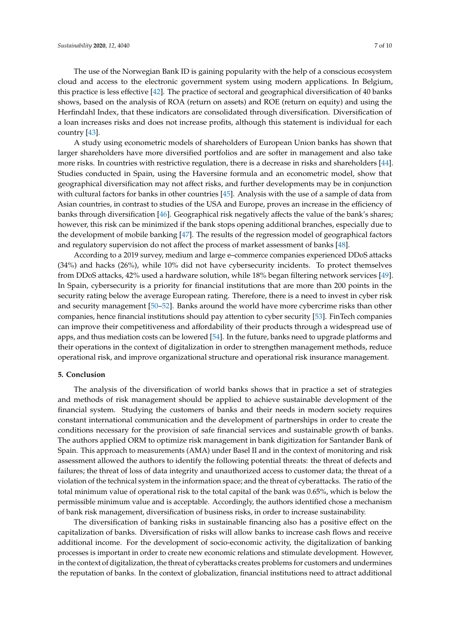The use of the Norwegian Bank ID is gaining popularity with the help of a conscious ecosystem cloud and access to the electronic government system using modern applications. In Belgium, this practice is less effective [\[42\]](#page-9-3). The practice of sectoral and geographical diversification of 40 banks shows, based on the analysis of ROA (return on assets) and ROE (return on equity) and using the Herfindahl Index, that these indicators are consolidated through diversification. Diversification of a loan increases risks and does not increase profits, although this statement is individual for each country [\[43\]](#page-9-4).

A study using econometric models of shareholders of European Union banks has shown that larger shareholders have more diversified portfolios and are softer in management and also take more risks. In countries with restrictive regulation, there is a decrease in risks and shareholders [\[44\]](#page-9-5). Studies conducted in Spain, using the Haversine formula and an econometric model, show that geographical diversification may not affect risks, and further developments may be in conjunction with cultural factors for banks in other countries [\[45\]](#page-9-6). Analysis with the use of a sample of data from Asian countries, in contrast to studies of the USA and Europe, proves an increase in the efficiency of banks through diversification [\[46\]](#page-9-7). Geographical risk negatively affects the value of the bank's shares; however, this risk can be minimized if the bank stops opening additional branches, especially due to the development of mobile banking [\[47\]](#page-9-8). The results of the regression model of geographical factors and regulatory supervision do not affect the process of market assessment of banks [\[48\]](#page-9-9).

According to a 2019 survey, medium and large e–commerce companies experienced DDoS attacks (34%) and hacks (26%), while 10% did not have cybersecurity incidents. To protect themselves from DDoS attacks, 42% used a hardware solution, while 18% began filtering network services [\[49\]](#page-9-10). In Spain, cybersecurity is a priority for financial institutions that are more than 200 points in the security rating below the average European rating. Therefore, there is a need to invest in cyber risk and security management [\[50](#page-9-11)[–52\]](#page-9-12). Banks around the world have more cybercrime risks than other companies, hence financial institutions should pay attention to cyber security [\[53\]](#page-9-13). FinTech companies can improve their competitiveness and affordability of their products through a widespread use of apps, and thus mediation costs can be lowered [\[54\]](#page-9-14). In the future, banks need to upgrade platforms and their operations in the context of digitalization in order to strengthen management methods, reduce operational risk, and improve organizational structure and operational risk insurance management.

### **5. Conclusion**

The analysis of the diversification of world banks shows that in practice a set of strategies and methods of risk management should be applied to achieve sustainable development of the financial system. Studying the customers of banks and their needs in modern society requires constant international communication and the development of partnerships in order to create the conditions necessary for the provision of safe financial services and sustainable growth of banks. The authors applied ORM to optimize risk management in bank digitization for Santander Bank of Spain. This approach to measurements (AMA) under Basel II and in the context of monitoring and risk assessment allowed the authors to identify the following potential threats: the threat of defects and failures; the threat of loss of data integrity and unauthorized access to customer data; the threat of a violation of the technical system in the information space; and the threat of cyberattacks. The ratio of the total minimum value of operational risk to the total capital of the bank was 0.65%, which is below the permissible minimum value and is acceptable. Accordingly, the authors identified chose a mechanism of bank risk management, diversification of business risks, in order to increase sustainability.

The diversification of banking risks in sustainable financing also has a positive effect on the capitalization of banks. Diversification of risks will allow banks to increase cash flows and receive additional income. For the development of socio-economic activity, the digitalization of banking processes is important in order to create new economic relations and stimulate development. However, in the context of digitalization, the threat of cyberattacks creates problems for customers and undermines the reputation of banks. In the context of globalization, financial institutions need to attract additional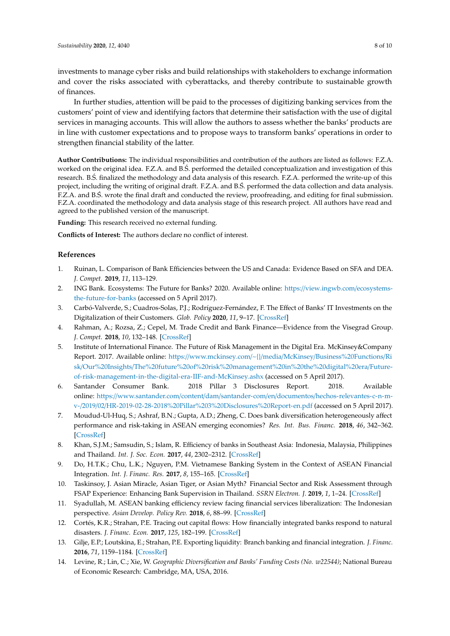investments to manage cyber risks and build relationships with stakeholders to exchange information and cover the risks associated with cyberattacks, and thereby contribute to sustainable growth of finances.

In further studies, attention will be paid to the processes of digitizing banking services from the customers' point of view and identifying factors that determine their satisfaction with the use of digital services in managing accounts. This will allow the authors to assess whether the banks' products are in line with customer expectations and to propose ways to transform banks' operations in order to strengthen financial stability of the latter.

**Author Contributions:** The individual responsibilities and contribution of the authors are listed as follows: F.Z.A. worked on the original idea. F.Z.A. and B.S. performed the detailed conceptualization and investigation of this ´ research. B.S. finalized the methodology and data analysis of this research. F.Z.A. performed the write-up of this ´ project, including the writing of original draft. F.Z.A. and B.S. performed the data collection and data analysis. ´ F.Z.A. and B.S. wrote the final draft and conducted the review, proofreading, and editing for final submission. ´ F.Z.A. coordinated the methodology and data analysis stage of this research project. All authors have read and agreed to the published version of the manuscript.

**Funding:** This research received no external funding.

**Conflicts of Interest:** The authors declare no conflict of interest.

### **References**

- <span id="page-7-0"></span>1. Ruinan, L. Comparison of Bank Efficiencies between the US and Canada: Evidence Based on SFA and DEA. *J. Compet.* **2019**, *11*, 113–129.
- <span id="page-7-1"></span>2. ING Bank. Ecosystems: The Future for Banks? 2020. Available online: https://[view.ingwb.com](https://view.ingwb.com/ecosystems-the-future-for-banks)/ecosystems[the-future-for-banks](https://view.ingwb.com/ecosystems-the-future-for-banks) (accessed on 5 April 2017).
- <span id="page-7-2"></span>3. Carbó-Valverde, S.; Cuadros-Solas, P.J.; Rodríguez-Fernández, F. The Effect of Banks' IT Investments on the Digitalization of their Customers. *Glob. Policy* **2020**, *11*, 9–17. [\[CrossRef\]](http://dx.doi.org/10.1111/1758-5899.12749)
- <span id="page-7-3"></span>4. Rahman, A.; Rozsa, Z.; Cepel, M. Trade Credit and Bank Finance—Evidence from the Visegrad Group. *J. Compet.* **2018**, *10*, 132–148. [\[CrossRef\]](http://dx.doi.org/10.7441/joc.2018.03.09)
- <span id="page-7-4"></span>5. Institute of International Finance. The Future of Risk Management in the Digital Era. McKinsey&Company Report. 2017. Available online: https://www.mckinsey.com/~{}/media/McKinsey/[Business%20Functions](https://www.mckinsey.com/~{}/media/McKinsey/Business%20Functions/Risk/Our%20Insights/The%20future%20of%20risk%20management%20in%20the%20digital%20era/Future-of-risk-management-in-the-digital-era-IIF-and-McKinsey.ashx)/Ri sk/Our%20Insights/[The%20future%20of%20risk%20management%20in%20the%20digital%20era](https://www.mckinsey.com/~{}/media/McKinsey/Business%20Functions/Risk/Our%20Insights/The%20future%20of%20risk%20management%20in%20the%20digital%20era/Future-of-risk-management-in-the-digital-era-IIF-and-McKinsey.ashx)/Future[of-risk-management-in-the-digital-era-IIF-and-McKinsey.ashx](https://www.mckinsey.com/~{}/media/McKinsey/Business%20Functions/Risk/Our%20Insights/The%20future%20of%20risk%20management%20in%20the%20digital%20era/Future-of-risk-management-in-the-digital-era-IIF-and-McKinsey.ashx) (accessed on 5 April 2017).
- <span id="page-7-5"></span>6. Santander Consumer Bank. 2018 Pillar 3 Disclosures Report. 2018. Available online: https://www.santander.com/content/dam/santander-com/en/documentos/[hechos-relevantes-c-n-m](https://www.santander.com/content/dam/santander-com/en/documentos/hechos-relevantes-c-n-m-v-/2019/02/HR-2019-02-28-2018%20Pillar%203%20Disclosures%20Report-en.pdf)v-/2019/02/[HR-2019-02-28-2018%20Pillar%203%20Disclosures%20Report-en.pdf](https://www.santander.com/content/dam/santander-com/en/documentos/hechos-relevantes-c-n-m-v-/2019/02/HR-2019-02-28-2018%20Pillar%203%20Disclosures%20Report-en.pdf) (accessed on 5 April 2017).
- <span id="page-7-6"></span>7. Moudud-Ul-Huq, S.; Ashraf, B.N.; Gupta, A.D.; Zheng, C. Does bank diversification heterogeneously affect performance and risk-taking in ASEAN emerging economies? *Res. Int. Bus. Financ.* **2018**, *46*, 342–362. [\[CrossRef\]](http://dx.doi.org/10.1016/j.ribaf.2018.04.007)
- <span id="page-7-7"></span>8. Khan, S.J.M.; Samsudin, S.; Islam, R. Efficiency of banks in Southeast Asia: Indonesia, Malaysia, Philippines and Thailand. *Int. J. Soc. Econ.* **2017**, *44*, 2302–2312. [\[CrossRef\]](http://dx.doi.org/10.1108/IJSE-01-2016-0020)
- <span id="page-7-8"></span>9. Do, H.T.K.; Chu, L.K.; Nguyen, P.M. Vietnamese Banking System in the Context of ASEAN Financial Integration. *Int. J. Financ. Res.* **2017**, *8*, 155–165. [\[CrossRef\]](http://dx.doi.org/10.5430/ijfr.v8n1p155)
- <span id="page-7-9"></span>10. Taskinsoy, J. Asian Miracle, Asian Tiger, or Asian Myth? Financial Sector and Risk Assessment through FSAP Experience: Enhancing Bank Supervision in Thailand. *SSRN Electron. J.* **2019**, *1*, 1–24. [\[CrossRef\]](http://dx.doi.org/10.2139/ssrn.3385337)
- <span id="page-7-10"></span>11. Syadullah, M. ASEAN banking efficiency review facing financial services liberalization: The Indonesian perspective. *Asian Develop. Policy Rev.* **2018**, *6*, 88–99. [\[CrossRef\]](http://dx.doi.org/10.18488/journal.107.2018.62.88.99)
- <span id="page-7-11"></span>12. Cortés, K.R.; Strahan, P.E. Tracing out capital flows: How financially integrated banks respond to natural disasters. *J. Financ. Econ.* **2017**, *125*, 182–199. [\[CrossRef\]](http://dx.doi.org/10.1016/j.jfineco.2017.04.011)
- 13. Gilje, E.P.; Loutskina, E.; Strahan, P.E. Exporting liquidity: Branch banking and financial integration. *J. Financ.* **2016**, *71*, 1159–1184. [\[CrossRef\]](http://dx.doi.org/10.1111/jofi.12387)
- 14. Levine, R.; Lin, C.; Xie, W. *Geographic Diversification and Banks' Funding Costs (No. w22544)*; National Bureau of Economic Research: Cambridge, MA, USA, 2016.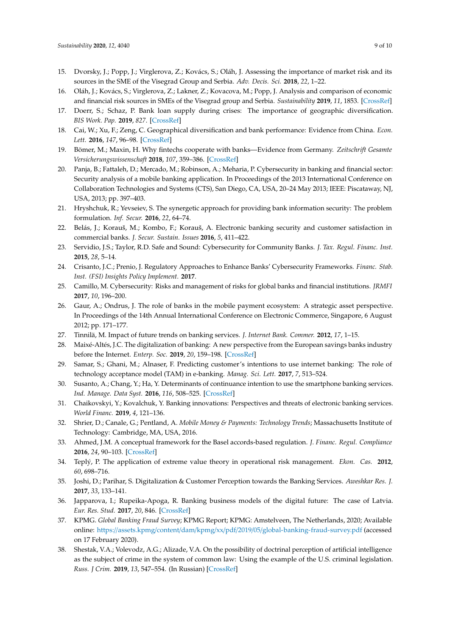- 15. Dvorsky, J.; Popp, J.; Virglerova, Z.; Kovács, S.; Oláh, J. Assessing the importance of market risk and its sources in the SME of the Visegrad Group and Serbia. *Adv. Decis. Sci.* **2018**, *22*, 1–22.
- <span id="page-8-0"></span>16. Oláh, J.; Kovács, S.; Virglerova, Z.; Lakner, Z.; Kovacova, M.; Popp, J. Analysis and comparison of economic and financial risk sources in SMEs of the Visegrad group and Serbia. *Sustainability* **2019**, *11*, 1853. [\[CrossRef\]](http://dx.doi.org/10.3390/su11071853)
- <span id="page-8-1"></span>17. Doerr, S.; Schaz, P. Bank loan supply during crises: The importance of geographic diversification. *BIS Work. Pap.* **2019**, *827*. [\[CrossRef\]](http://dx.doi.org/10.2139/ssrn.3082945)
- <span id="page-8-2"></span>18. Cai, W.; Xu, F.; Zeng, C. Geographical diversification and bank performance: Evidence from China. *Econ. Lett.* **2016**, *147*, 96–98. [\[CrossRef\]](http://dx.doi.org/10.1016/j.econlet.2016.08.022)
- <span id="page-8-3"></span>19. Bömer, M.; Maxin, H. Why fintechs cooperate with banks—Evidence from Germany. *Zeitschrift Gesamte Versicherungswissenschaft* **2018**, *107*, 359–386. [\[CrossRef\]](http://dx.doi.org/10.1007/s12297-018-0421-6)
- <span id="page-8-4"></span>20. Panja, B.; Fattaleh, D.; Mercado, M.; Robinson, A.; Meharia, P. Cybersecurity in banking and financial sector: Security analysis of a mobile banking application. In Proceedings of the 2013 International Conference on Collaboration Technologies and Systems (CTS), San Diego, CA, USA, 20–24 May 2013; IEEE: Piscataway, NJ, USA, 2013; pp. 397–403.
- <span id="page-8-5"></span>21. Hryshchuk, R.; Yevseiev, S. The synergetic approach for providing bank information security: The problem formulation. *Inf. Secur.* **2016**, *22*, 64–74.
- <span id="page-8-6"></span>22. Belás, J.; Korauš, M.; Kombo, F.; Korauš, A. Electronic banking security and customer satisfaction in commercial banks. *J. Secur. Sustain. Issues* **2016**, *5*, 411–422.
- <span id="page-8-7"></span>23. Servidio, J.S.; Taylor, R.D. Safe and Sound: Cybersecurity for Community Banks. *J. Tax. Regul. Financ. Inst.* **2015**, *28*, 5–14.
- <span id="page-8-8"></span>24. Crisanto, J.C.; Prenio, J. Regulatory Approaches to Enhance Banks' Cybersecurity Frameworks. *Financ. Stab. Inst. (FSI) Insights Policy Implement.* **2017**.
- <span id="page-8-9"></span>25. Camillo, M. Cybersecurity: Risks and management of risks for global banks and financial institutions. *JRMFI* **2017**, *10*, 196–200.
- <span id="page-8-10"></span>26. Gaur, A.; Ondrus, J. The role of banks in the mobile payment ecosystem: A strategic asset perspective. In Proceedings of the 14th Annual International Conference on Electronic Commerce, Singapore, 6 August 2012; pp. 171–177.
- <span id="page-8-11"></span>27. Tinnilä, M. Impact of future trends on banking services. *J. Internet Bank. Commer.* **2012**, *17*, 1–15.
- <span id="page-8-12"></span>28. Maixé-Altés, J.C. The digitalization of banking: A new perspective from the European savings banks industry before the Internet. *Enterp. Soc.* **2019**, *20*, 159–198. [\[CrossRef\]](http://dx.doi.org/10.1017/eso.2018.18)
- <span id="page-8-13"></span>29. Samar, S.; Ghani, M.; Alnaser, F. Predicting customer's intentions to use internet banking: The role of technology acceptance model (TAM) in e-banking. *Manag. Sci. Lett.* **2017**, *7*, 513–524.
- <span id="page-8-14"></span>30. Susanto, A.; Chang, Y.; Ha, Y. Determinants of continuance intention to use the smartphone banking services. *Ind. Manage. Data Syst.* **2016**, *116*, 508–525. [\[CrossRef\]](http://dx.doi.org/10.1108/IMDS-05-2015-0195)
- <span id="page-8-15"></span>31. Chaikovskyi, Y.; Kovalchuk, Y. Banking innovations: Perspectives and threats of electronic banking services. *World Financ.* **2019**, *4*, 121–136.
- <span id="page-8-16"></span>32. Shrier, D.; Canale, G.; Pentland, A. *Mobile Money & Payments: Technology Trends*; Massachusetts Institute of Technology: Cambridge, MA, USA, 2016.
- <span id="page-8-17"></span>33. Ahmed, J.M. A conceptual framework for the Basel accords-based regulation. *J. Financ. Regul. Compliance* **2016**, *24*, 90–103. [\[CrossRef\]](http://dx.doi.org/10.1108/JFRC-02-2015-0007)
- <span id="page-8-18"></span>34. Teplý, P. The application of extreme value theory in operational risk management. *Ekon. Cas.* **2012**, *60*, 698–716.
- <span id="page-8-19"></span>35. Joshi, D.; Parihar, S. Digitalization & Customer Perception towards the Banking Services. *Aweshkar Res. J.* **2017**, *33*, 133–141.
- <span id="page-8-20"></span>36. Japparova, I.; Rupeika-Apoga, R. Banking business models of the digital future: The case of Latvia. *Eur. Res. Stud.* **2017**, *20*, 846. [\[CrossRef\]](http://dx.doi.org/10.35808/ersj/749)
- <span id="page-8-21"></span>37. KPMG. *Global Banking Fraud Survey*; KPMG Report; KPMG: Amstelveen, The Netherlands, 2020; Available online: https://assets.kpmg/content/dam/kpmg/xx/pdf/2019/05/[global-banking-fraud-survey.pdf](https://assets.kpmg/content/dam/kpmg/xx/pdf/2019/05/global-banking-fraud-survey.pdf) (accessed on 17 February 2020).
- <span id="page-8-22"></span>38. Shestak, V.A.; Volevodz, A.G.; Alizade, V.A. On the possibility of doctrinal perception of artificial intelligence as the subject of crime in the system of common law: Using the example of the U.S. criminal legislation. *Russ. J Crim.* **2019**, *13*, 547–554. (In Russian) [\[CrossRef\]](http://dx.doi.org/10.17150/2500-4255.2019.13(4).547-554)